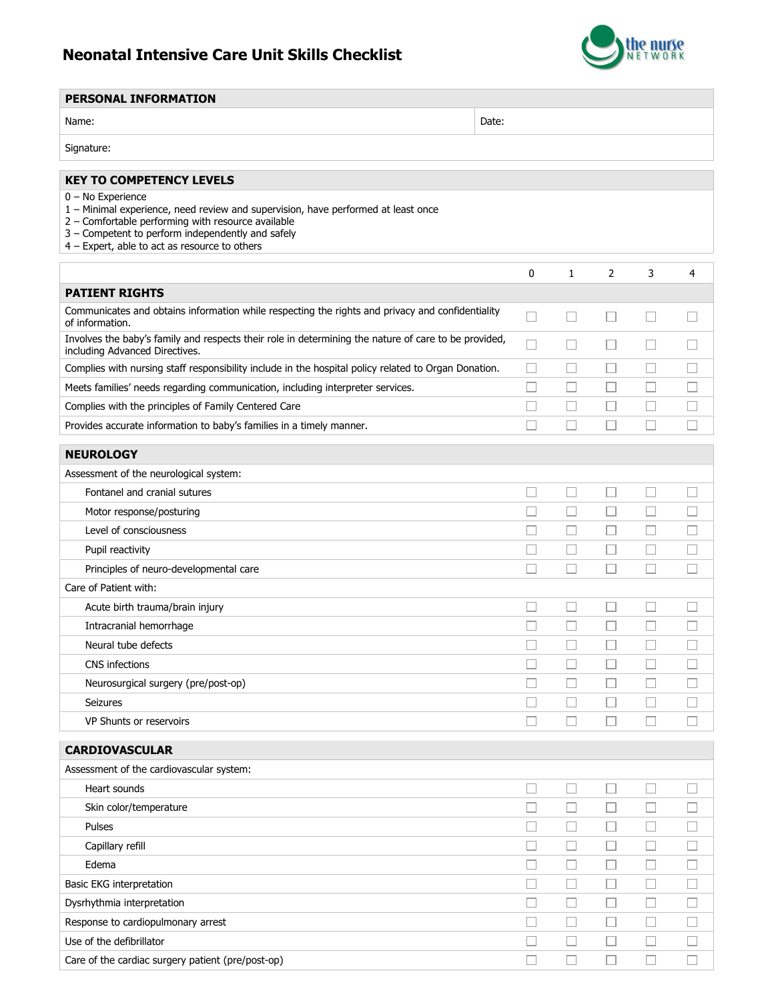## Neonatal Intensive Care Unit Skills Checklist



 $\overline{\phantom{a}}$ 

| <b>PERSONAL INFORMATION</b>                                                                                                                                                                                                                                          |       |                          |                          |                             |             |
|----------------------------------------------------------------------------------------------------------------------------------------------------------------------------------------------------------------------------------------------------------------------|-------|--------------------------|--------------------------|-----------------------------|-------------|
| Name:                                                                                                                                                                                                                                                                | Date: |                          |                          |                             |             |
| Signature:                                                                                                                                                                                                                                                           |       |                          |                          |                             |             |
| <b>KEY TO COMPETENCY LEVELS</b>                                                                                                                                                                                                                                      |       |                          |                          |                             |             |
| $0 - No$ Experience<br>1 - Minimal experience, need review and supervision, have performed at least once<br>2 - Comfortable performing with resource available<br>3 - Competent to perform independently and safely<br>4 - Expert, able to act as resource to others |       |                          |                          |                             |             |
|                                                                                                                                                                                                                                                                      | 0     | 1                        | 2                        | 3                           | 4           |
| <b>PATIENT RIGHTS</b>                                                                                                                                                                                                                                                |       |                          |                          |                             |             |
| Communicates and obtains information while respecting the rights and privacy and confidentiality<br>of information.                                                                                                                                                  |       |                          |                          | $\overline{\phantom{a}}$    |             |
| Involves the baby's family and respects their role in determining the nature of care to be provided,<br>including Advanced Directives.                                                                                                                               |       | $\Box$                   | ⊔                        | $\overline{\phantom{a}}$    |             |
| Complies with nursing staff responsibility include in the hospital policy related to Organ Donation.                                                                                                                                                                 |       | L                        | $\mathbf{L}$             | □                           |             |
| Meets families' needs regarding communication, including interpreter services.                                                                                                                                                                                       |       | П                        | П                        | $\Box$                      |             |
| Complies with the principles of Family Centered Care                                                                                                                                                                                                                 |       | L.                       | $\overline{\phantom{a}}$ | $\mathcal{L}_{\mathcal{A}}$ |             |
| Provides accurate information to baby's families in a timely manner.                                                                                                                                                                                                 |       | П                        | П                        | П                           |             |
| <b>NEUROLOGY</b>                                                                                                                                                                                                                                                     |       |                          |                          |                             |             |
| Assessment of the neurological system:                                                                                                                                                                                                                               |       |                          |                          |                             |             |
| Fontanel and cranial sutures                                                                                                                                                                                                                                         |       | П                        | □                        | □                           |             |
| Motor response/posturing                                                                                                                                                                                                                                             |       | L                        | $\Box$                   | $\Box$                      |             |
| Level of consciousness                                                                                                                                                                                                                                               |       |                          | $\Box$                   |                             |             |
| Pupil reactivity                                                                                                                                                                                                                                                     |       | L                        | Ш                        | $\overline{\phantom{a}}$    |             |
| Principles of neuro-developmental care                                                                                                                                                                                                                               |       | П                        | П                        | П                           |             |
| Care of Patient with:                                                                                                                                                                                                                                                |       |                          |                          |                             |             |
| Acute birth trauma/brain injury                                                                                                                                                                                                                                      |       | $\overline{\phantom{a}}$ | $\Box$                   | $\sim$                      |             |
| Intracranial hemorrhage                                                                                                                                                                                                                                              |       | L                        |                          | $\overline{\phantom{a}}$    |             |
| Neural tube defects                                                                                                                                                                                                                                                  |       | П                        | $\Box$                   | П                           |             |
| CNS infections                                                                                                                                                                                                                                                       | П     | $\Box$                   | П                        |                             | П           |
| Neurosurgical surgery (pre/post-op)<br><b>Seizures</b>                                                                                                                                                                                                               |       | $\Box$                   | П                        | $\Box$<br>□                 | n.          |
| VP Shunts or reservoirs                                                                                                                                                                                                                                              |       | $\Box$                   | $\Box$                   | $\Box$                      | П           |
|                                                                                                                                                                                                                                                                      |       |                          |                          |                             |             |
| <b>CARDIOVASCULAR</b>                                                                                                                                                                                                                                                |       |                          |                          |                             |             |
| Assessment of the cardiovascular system:                                                                                                                                                                                                                             |       |                          |                          |                             |             |
| Heart sounds                                                                                                                                                                                                                                                         |       | $\Box$                   | П                        | П                           | П           |
| Skin color/temperature                                                                                                                                                                                                                                               |       | L                        | Н                        | $\overline{\phantom{a}}$    | n.          |
| Pulses                                                                                                                                                                                                                                                               |       | $\Box$                   | $\overline{\phantom{a}}$ | □                           |             |
| Capillary refill                                                                                                                                                                                                                                                     |       | $\overline{\phantom{a}}$ | Ш                        | $\Box$                      |             |
| Edema<br>Basic EKG interpretation                                                                                                                                                                                                                                    |       | □<br>П                   | □<br>Ш                   | П<br>$\Box$                 | $\Box$<br>u |
| Dysrhythmia interpretation                                                                                                                                                                                                                                           |       | $\Box$                   | $\Box$                   | $\Box$                      | П           |
| Response to cardiopulmonary arrest                                                                                                                                                                                                                                   |       | $\Box$                   | $\overline{\phantom{a}}$ | $\mathcal{L}_{\mathcal{A}}$ | m.          |
| Use of the defibrillator                                                                                                                                                                                                                                             |       | $\Box$                   | $\Box$                   | $\Box$                      | П           |
| Care of the cardiac surgery patient (pre/post-op)                                                                                                                                                                                                                    | П     | $\Box$                   | □                        | $\Box$                      | $\Box$      |
|                                                                                                                                                                                                                                                                      |       |                          |                          |                             |             |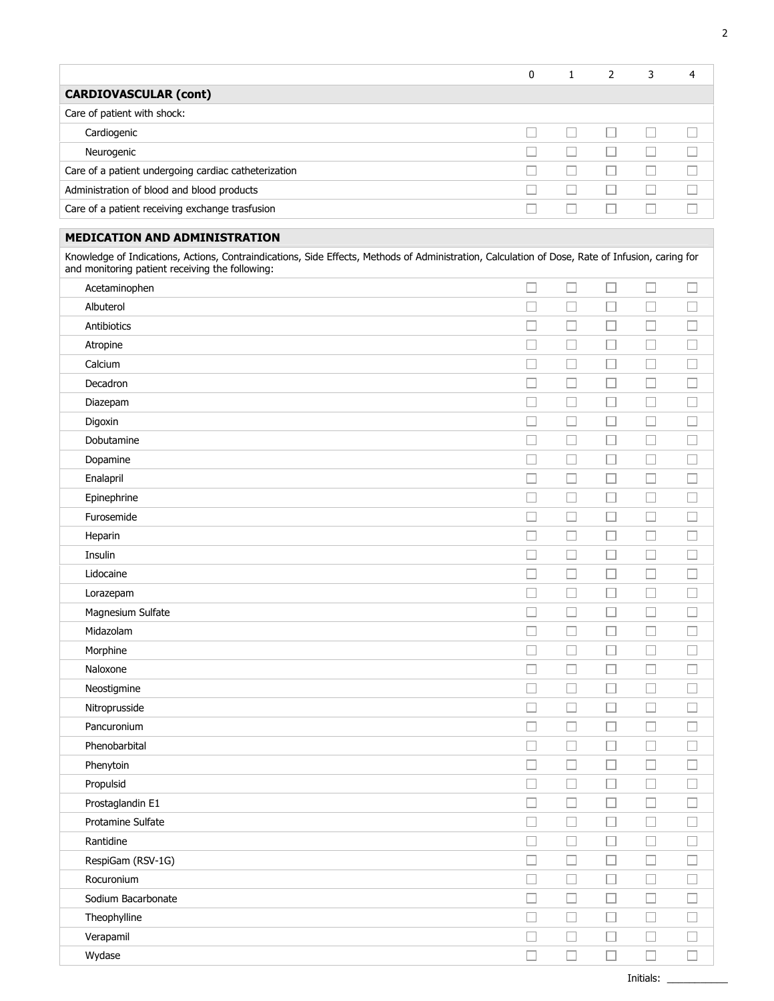|                                                                                                                                                                                                     | 0      | $\mathbf{1}$             | $\overline{2}$ | 3      | 4                 |
|-----------------------------------------------------------------------------------------------------------------------------------------------------------------------------------------------------|--------|--------------------------|----------------|--------|-------------------|
| <b>CARDIOVASCULAR (cont)</b>                                                                                                                                                                        |        |                          |                |        |                   |
| Care of patient with shock:                                                                                                                                                                         |        |                          |                |        |                   |
| Cardiogenic                                                                                                                                                                                         |        | $\Box$                   | $\Box$         | $\Box$ |                   |
| Neurogenic                                                                                                                                                                                          |        | $\Box$                   | $\Box$         | $\Box$ |                   |
| Care of a patient undergoing cardiac catheterization                                                                                                                                                |        |                          |                | $\Box$ |                   |
| Administration of blood and blood products                                                                                                                                                          |        | $\mathbb{Z}^2$           | $\Box$         | $\Box$ |                   |
| Care of a patient receiving exchange trasfusion                                                                                                                                                     |        | □                        | $\Box$         | □      |                   |
| <b>MEDICATION AND ADMINISTRATION</b>                                                                                                                                                                |        |                          |                |        |                   |
| Knowledge of Indications, Actions, Contraindications, Side Effects, Methods of Administration, Calculation of Dose, Rate of Infusion, caring for<br>and monitoring patient receiving the following: |        |                          |                |        |                   |
| Acetaminophen                                                                                                                                                                                       | $\Box$ | $\Box$                   | $\Box$         | $\Box$ |                   |
| Albuterol                                                                                                                                                                                           |        | $\Box$                   | $\Box$         | $\Box$ |                   |
| Antibiotics                                                                                                                                                                                         |        | $\Box$                   | $\Box$         | $\Box$ |                   |
| Atropine                                                                                                                                                                                            |        | $\Box$                   | $\Box$         | $\Box$ |                   |
| Calcium                                                                                                                                                                                             |        | $\Box$                   | $\Box$         | $\Box$ |                   |
| Decadron                                                                                                                                                                                            |        | $\Box$                   | $\Box$         | $\Box$ |                   |
| Diazepam                                                                                                                                                                                            |        | ⊔                        | $\Box$         | □      |                   |
| Digoxin                                                                                                                                                                                             |        | П                        | $\Box$         | $\Box$ |                   |
| Dobutamine                                                                                                                                                                                          |        | ш                        | $\Box$         | $\Box$ |                   |
| Dopamine                                                                                                                                                                                            |        | $\Box$                   | $\Box$         | $\Box$ |                   |
| Enalapril                                                                                                                                                                                           |        | ⊔                        | $\Box$         | □      | $\mathcal{L}$     |
| Epinephrine                                                                                                                                                                                         |        | П                        | $\Box$         | $\Box$ | n.                |
| Furosemide                                                                                                                                                                                          |        | $\Box$                   | $\Box$         | $\Box$ | $\mathcal{L}$     |
| Heparin                                                                                                                                                                                             |        | $\Box$                   | □              | □      |                   |
| Insulin                                                                                                                                                                                             |        | Ш                        | $\Box$         | Ш      |                   |
| Lidocaine                                                                                                                                                                                           |        | $\Box$                   | $\Box$         | $\Box$ | $\vert \ \ \vert$ |
| Lorazepam                                                                                                                                                                                           |        | $\Box$                   | $\Box$         | $\Box$ |                   |
| Magnesium Sulfate                                                                                                                                                                                   |        | $\overline{\phantom{a}}$ |                | П      |                   |
| Midazolam                                                                                                                                                                                           |        |                          |                |        |                   |
| Morphine                                                                                                                                                                                            | $\Box$ | $\Box$                   | $\Box$         | $\Box$ | $\Box$            |
| Naloxone                                                                                                                                                                                            | $\sim$ | $\Box$                   | $\Box$         | $\Box$ | $\Box$            |
| Neostigmine                                                                                                                                                                                         | $\Box$ | $\Box$                   | $\Box$         | $\Box$ | $\Box$            |
| Nitroprusside                                                                                                                                                                                       | П      | $\Box$                   | $\Box$         | □      | □                 |
| Pancuronium                                                                                                                                                                                         | $\Box$ | $\Box$                   | $\Box$         | $\Box$ | $\Box$            |
| Phenobarbital                                                                                                                                                                                       | $\Box$ | $\Box$                   | $\Box$         | $\Box$ | $\Box$            |
| Phenytoin                                                                                                                                                                                           | $\Box$ | $\Box$                   | $\Box$         | $\Box$ | $\Box$            |
| Propulsid                                                                                                                                                                                           | $\Box$ | $\Box$                   | $\Box$         | $\Box$ | $\Box$            |
| Prostaglandin E1                                                                                                                                                                                    | $\Box$ | $\Box$                   | $\Box$         | $\Box$ | $\Box$            |
| Protamine Sulfate                                                                                                                                                                                   | $\Box$ | $\Box$                   | $\Box$         | $\Box$ | П                 |
| Rantidine                                                                                                                                                                                           | $\Box$ | $\Box$                   | $\Box$         | $\Box$ | $\Box$            |
| RespiGam (RSV-1G)                                                                                                                                                                                   | $\Box$ | $\Box$                   | $\Box$         | $\Box$ | $\Box$            |
| Rocuronium                                                                                                                                                                                          | $\Box$ | $\Box$                   | $\Box$         | $\Box$ |                   |
| Sodium Bacarbonate                                                                                                                                                                                  | $\Box$ | $\Box$                   | $\Box$         | $\Box$ |                   |
| Theophylline                                                                                                                                                                                        | $\Box$ | $\Box$                   | $\Box$         | $\Box$ |                   |
| Verapamil                                                                                                                                                                                           |        | $\Box$                   | $\Box$         | $\Box$ | $\Box$            |
| Wydase                                                                                                                                                                                              | $\Box$ | $\Box$                   | $\Box$         | $\Box$ | $\Box$            |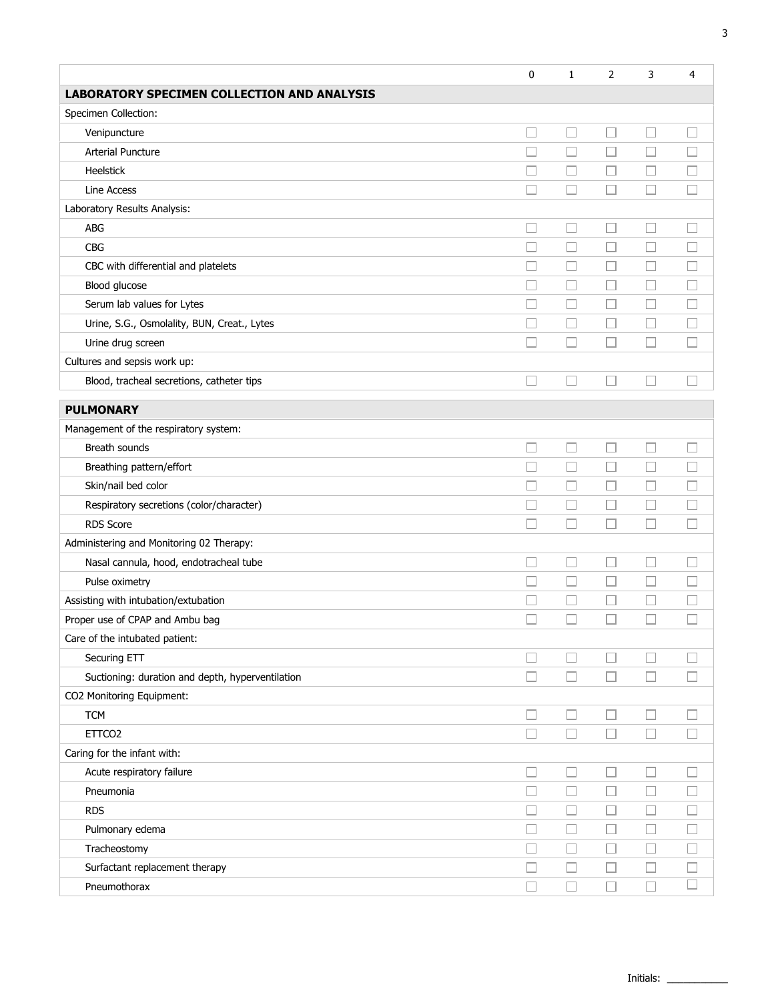|                                                    | 0                | $\mathbf{1}$ | 2      | 3                | 4                |
|----------------------------------------------------|------------------|--------------|--------|------------------|------------------|
| <b>LABORATORY SPECIMEN COLLECTION AND ANALYSIS</b> |                  |              |        |                  |                  |
| Specimen Collection:                               |                  |              |        |                  |                  |
| Venipuncture                                       | $\Box$           | $\Box$       | □      | $\Box$           | П                |
| <b>Arterial Puncture</b>                           |                  | П            | Ш      | L.               |                  |
| <b>Heelstick</b>                                   | П                | $\Box$       | □      | П                |                  |
| Line Access                                        | П                | □            | П      | $\Box$           |                  |
| Laboratory Results Analysis:                       |                  |              |        |                  |                  |
| <b>ABG</b>                                         | Н                | П            | Ш      | L                |                  |
| <b>CBG</b>                                         | $\Box$           | $\Box$       | $\Box$ | $\Box$           |                  |
| CBC with differential and platelets                | П                | □            | П      | П                |                  |
| Blood glucose                                      | П                | $\Box$       | □      | П                |                  |
| Serum lab values for Lytes                         | П                | П            | □      | $\Box$           |                  |
| Urine, S.G., Osmolality, BUN, Creat., Lytes        |                  | $\Box$       |        | Г                |                  |
| Urine drug screen                                  | П                | П            | П      | П                |                  |
| Cultures and sepsis work up:                       |                  |              |        |                  |                  |
| Blood, tracheal secretions, catheter tips          |                  | $\Box$       |        |                  |                  |
|                                                    |                  |              |        |                  |                  |
| <b>PULMONARY</b>                                   |                  |              |        |                  |                  |
| Management of the respiratory system:              |                  |              |        |                  |                  |
| Breath sounds                                      | П<br>П           | $\Box$       | □      | □                |                  |
| Breathing pattern/effort                           |                  | $\Box$       | □      | $\Box$           | $\Box$           |
| Skin/nail bed color                                | П<br>П           | □            | □      | П                |                  |
| Respiratory secretions (color/character)           |                  | $\Box$       | П      | $\Box$           |                  |
| <b>RDS Score</b>                                   | П                | □            | П      | П                |                  |
| Administering and Monitoring 02 Therapy:           |                  |              |        |                  |                  |
| Nasal cannula, hood, endotracheal tube             | $\Box$           | $\Box$       | П      | П                |                  |
| Pulse oximetry                                     |                  | $\Box$       | $\Box$ | ⊏                |                  |
| Assisting with intubation/extubation               |                  | □            |        | $\Box$           |                  |
| Proper use of CPAP and Ambu bag                    |                  |              |        |                  |                  |
| Care of the intubated patient:                     |                  |              |        |                  |                  |
| Securing ETT                                       | $\Box$<br>$\Box$ | □<br>$\Box$  |        | $\Box$           |                  |
| Suctioning: duration and depth, hyperventilation   |                  |              |        | $\Box$           |                  |
| CO2 Monitoring Equipment:<br><b>TCM</b>            |                  | $\Box$       | П      |                  |                  |
| ETTCO <sub>2</sub>                                 | $\Box$<br>$\Box$ | $\Box$       | П      | $\Box$<br>$\Box$ |                  |
|                                                    |                  |              |        |                  |                  |
| Caring for the infant with:                        |                  |              |        |                  |                  |
| Acute respiratory failure                          | Ш                | $\Box$       | ப      | $\Box$           |                  |
| Pneumonia                                          | $\Box$           | $\Box$       | □      | □                |                  |
| <b>RDS</b>                                         |                  | ⊔            | ப      | ⊔                |                  |
| Pulmonary edema                                    | П                | □            | □      | □                |                  |
| Tracheostomy                                       |                  | $\Box$       | □      | $\Box$           |                  |
| Surfactant replacement therapy                     | □                | $\Box$       | □      | $\Box$           | $\Box$<br>$\Box$ |
| Pneumothorax                                       | $\Box$           | $\Box$       | □      | $\Box$           |                  |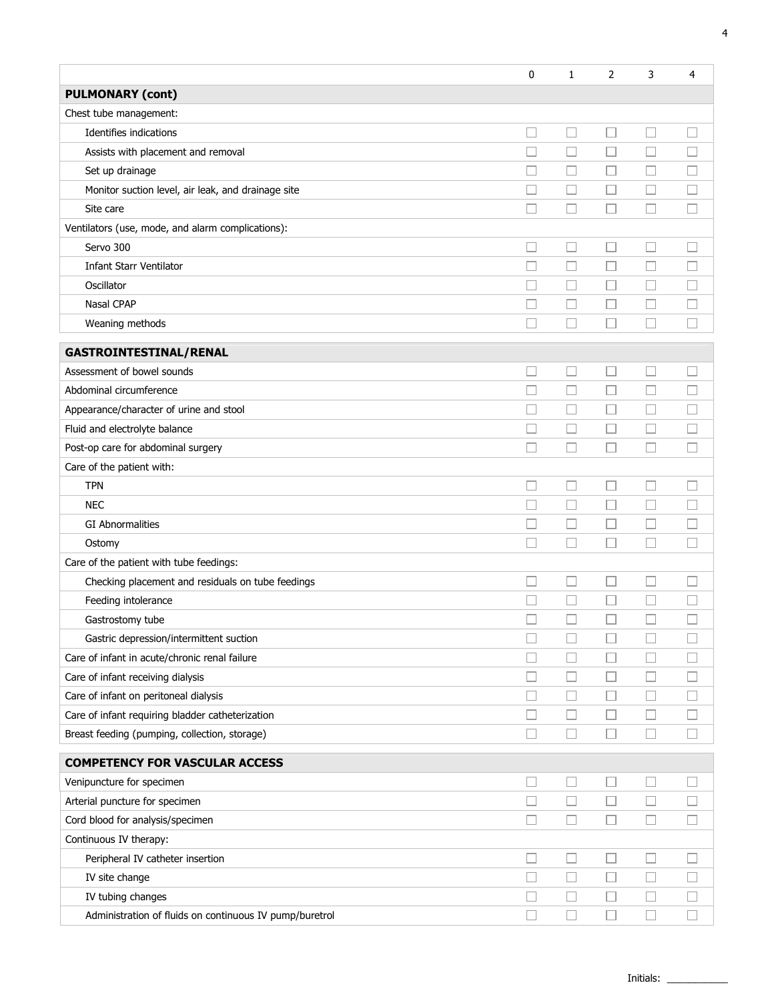|                                                         | 0                        | 1      | 2      | 3                        | 4                           |
|---------------------------------------------------------|--------------------------|--------|--------|--------------------------|-----------------------------|
| <b>PULMONARY (cont)</b>                                 |                          |        |        |                          |                             |
| Chest tube management:                                  |                          |        |        |                          |                             |
| Identifies indications                                  | $\Box$                   | $\Box$ | $\Box$ | П                        | П                           |
| Assists with placement and removal                      | П                        | $\Box$ | $\Box$ | □                        |                             |
| Set up drainage                                         |                          | $\Box$ | $\Box$ | П                        |                             |
| Monitor suction level, air leak, and drainage site      |                          | □      | П      | П                        |                             |
| Site care                                               |                          | $\Box$ |        | П                        |                             |
| Ventilators (use, mode, and alarm complications):       |                          |        |        |                          |                             |
| Servo 300                                               |                          | □      | $\Box$ | $\overline{\phantom{a}}$ |                             |
| <b>Infant Starr Ventilator</b>                          |                          | □      | □      | □                        |                             |
| Oscillator                                              |                          | $\Box$ | □      | □                        |                             |
| Nasal CPAP                                              |                          | □      |        | □                        |                             |
| Weaning methods                                         |                          | $\Box$ |        | I.                       |                             |
| <b>GASTROINTESTINAL/RENAL</b>                           |                          |        |        |                          |                             |
| Assessment of bowel sounds                              | $\Box$                   | □      | П      | $\Box$                   |                             |
| Abdominal circumference                                 | П                        | $\Box$ | $\Box$ | $\Box$                   |                             |
| Appearance/character of urine and stool                 |                          | $\Box$ | □      | $\Box$                   |                             |
| Fluid and electrolyte balance                           |                          | $\Box$ |        | П                        |                             |
| Post-op care for abdominal surgery                      |                          | $\Box$ | П      | П                        |                             |
| Care of the patient with:                               |                          |        |        |                          |                             |
| <b>TPN</b>                                              |                          | □      |        | Ш                        |                             |
| <b>NEC</b>                                              |                          | $\Box$ | $\Box$ | $\Box$                   |                             |
| <b>GI Abnormalities</b>                                 |                          | □      | □      | □                        |                             |
| Ostomy                                                  |                          | $\Box$ | $\Box$ | □                        |                             |
| Care of the patient with tube feedings:                 |                          |        |        |                          |                             |
| Checking placement and residuals on tube feedings       | ப                        | □      | □      | $\Box$                   |                             |
| Feeding intolerance                                     |                          | □      | $\Box$ | □                        |                             |
| Gastrostomy tube                                        |                          | □      | П      | П                        |                             |
| Gastric depression/intermittent suction                 |                          |        |        |                          |                             |
| Care of infant in acute/chronic renal failure           |                          | L      |        | $\mathbf{L}$             |                             |
| Care of infant receiving dialysis                       |                          | □      | □      | □                        | $\overline{\phantom{a}}$    |
| Care of infant on peritoneal dialysis                   |                          | $\Box$ | $\Box$ | ⊔                        |                             |
| Care of infant requiring bladder catheterization        | П                        | $\Box$ | $\Box$ | $\Box$                   | $\mathcal{L}_{\mathcal{A}}$ |
| Breast feeding (pumping, collection, storage)           | $\overline{\phantom{a}}$ | $\Box$ | □      | □                        |                             |
| <b>COMPETENCY FOR VASCULAR ACCESS</b>                   |                          |        |        |                          |                             |
| Venipuncture for specimen                               |                          | $\Box$ |        | $\Box$                   |                             |
| Arterial puncture for specimen                          | $\Box$                   | $\Box$ | $\Box$ | $\Box$                   |                             |
| Cord blood for analysis/specimen                        | $\Box$                   | $\Box$ | $\Box$ | $\Box$                   |                             |
| Continuous IV therapy:                                  |                          |        |        |                          |                             |
| Peripheral IV catheter insertion                        | $\overline{\phantom{a}}$ | □      | $\Box$ | $\Box$                   | $\overline{\phantom{a}}$    |
| IV site change                                          | $\Box$                   | $\Box$ | $\Box$ | $\Box$                   | $\overline{\phantom{a}}$    |
| IV tubing changes                                       | П                        | $\Box$ | □      | □                        | П                           |
| Administration of fluids on continuous IV pump/buretrol | $\Box$                   | $\Box$ | Ш      | □                        | $\Box$                      |